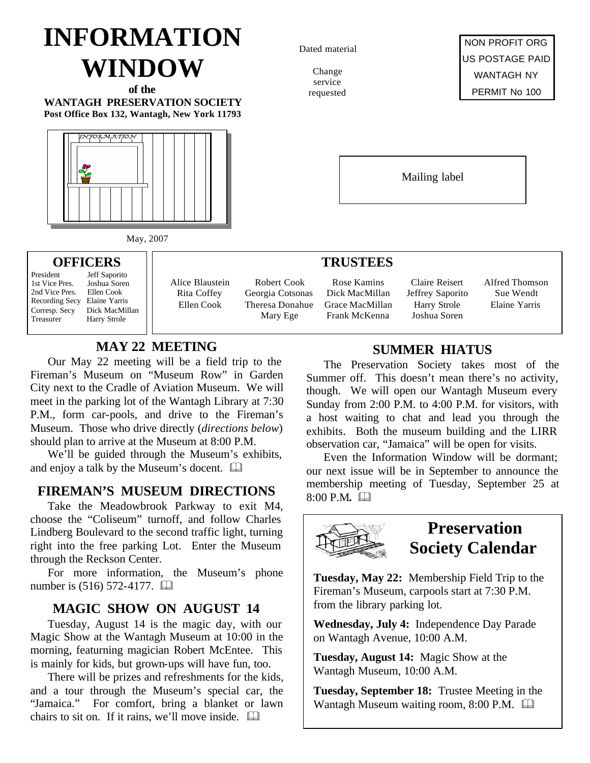# **INFORMATION WINDOW**

**of the WANTAGH PRESERVATION SOCIETY Post Office Box 132, Wantagh, New York 11793**



Dated material

Change service requested

NON PROFIT ORG US POSTAGE PAID WANTAGH NY PERMIT No 100

Mailing label

#### **TRUSTEES**

Rose Kamins Dick MacMillan Grace MacMillan Frank McKenna

Claire Reisert Jeffrey Saporito Harry Strole Joshua Soren

Alfred Thomson Sue Wendt Elaine Yarris

# **SUMMER HIATUS**

The Preservation Society takes most of the Summer off. This doesn't mean there's no activity, though. We will open our Wantagh Museum every Sunday from 2:00 P.M. to 4:00 P.M. for visitors, with a host waiting to chat and lead you through the exhibits. Both the museum building and the LIRR observation car, "Jamaica" will be open for visits.

Even the Information Window will be dormant; our next issue will be in September to announce the **FIREMAN'S MUSEUM DIRECTIONS** membership meeting of Tuesday, September 25 at 8:00 P.M.  $\Box$ 



**Tuesday, May 22:** Membership Field Trip to the Fireman's Museum, carpools start at 7:30 P.M. from the library parking lot.

**Wednesday, July 4:** Independence Day Parade on Wantagh Avenue, 10:00 A.M.

**Tuesday, August 14:** Magic Show at the Wantagh Museum, 10:00 A.M.

**Tuesday, September 18:** Trustee Meeting in the Wantagh Museum waiting room,  $8:00$  P.M.  $\Box$ 

May, 2007

#### **OFFICERS**

President Jeff Saporito<br>1st Vice Pres. Joshua Soren 1st Vice Pres. Joshua Sore<br>2nd Vice Pres. Ellen Cook 2nd Vice Pres. Recording Secy Elaine Yarris Corresp. Secy Dick MacMillan Treasurer Harry Strole

Alice Blaustein Rita Coffey Ellen Cook

Robert Cook Georgia Cotsonas Theresa Donahue Mary Ege

#### **MAY 22 MEETING**

Our May 22 meeting will be a field trip to the Fireman's Museum on "Museum Row" in Garden City next to the Cradle of Aviation Museum. We will meet in the parking lot of the Wantagh Library at 7:30 P.M., form car-pools, and drive to the Fireman's Museum. Those who drive directly (*directions below*) should plan to arrive at the Museum at 8:00 P.M.

We'll be guided through the Museum's exhibits, and enjoy a talk by the Museum's docent.  $\square$ 

Take the Meadowbrook Parkway to exit M4, choose the "Coliseum" turnoff, and follow Charles Lindberg Boulevard to the second traffic light, turning right into the free parking Lot. Enter the Museum through the Reckson Center.

For more information, the Museum's phone number is (516) 572-4177. **and** 

# **MAGIC SHOW ON AUGUST 14**

Tuesday, August 14 is the magic day, with our Magic Show at the Wantagh Museum at 10:00 in the morning, featurning magician Robert McEntee. This is mainly for kids, but grown-ups will have fun, too.

There will be prizes and refreshments for the kids, and a tour through the Museum's special car, the "Jamaica." For comfort, bring a blanket or lawn chairs to sit on. If it rains, we'll move inside.  $\Box$